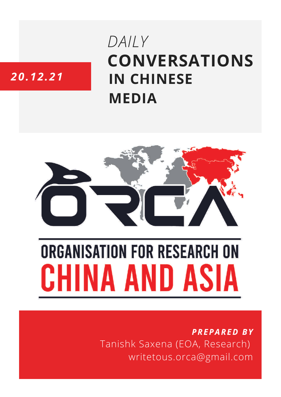# **CONVERSATIONS IN CHINESE MEDIA** *DAILY*

# *20.12.21*



# **ORGANISATION FOR RESEARCH ON** HINA AND ASIA

## *PREPARED BY* Tanishk Saxena (EOA, Research) writetous.orca@gmail.com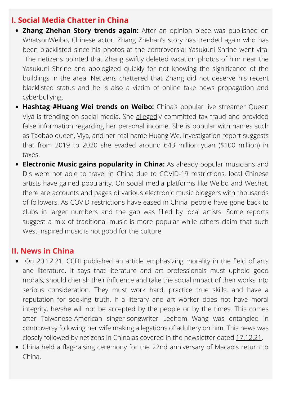#### **I. Social Media Chatter in China**

- **Zhang Zhehan Story trends again:** After an opinion piece was published on [WhatsonWeibo,](https://www.whatsonweibo.com/op-ed-%E2%8E%AA-cyber-bullying-and-fake-news-what-you-should-know-about-the-zhang-zhehan-story/) Chinese actor, Zhang Zhehan's story has trended again who has been blacklisted since his photos at the controversial Yasukuni Shrine went viral The netizens pointed that Zhang swiftly deleted vacation photos of him near the Yasukuni Shrine and apologized quickly for not knowing the significance of the buildings in the area. Netizens chattered that Zhang did not deserve his recent blacklisted status and he is also a victim of online fake news propagation and cyberbullying.
- **Hashtag #Huang Wei trends on Weibo:** China's popular live streamer Queen Viya is trending on social media. She [alleged](https://www.whatsonweibo.com/chinas-livestreaming-queen-viya-goes-viral-for-fraud-and-fines-ordered-to-pay-210-million/)ly committed tax fraud and provided false information regarding her personal income. She is popular with names such as Taobao queen, Viya, and her real name Huang We. Investigation report suggests that from 2019 to 2020 she evaded around 643 million yuan (\$100 million) in taxes.
- **Electronic Music gains popularity in China:** As already popular musicians and DJs were not able to travel in China due to COVID-19 restrictions, local Chinese artists have gained [popularity.](https://www.whatsonweibo.com/mainstream-underground-and-online-electronic-dance-music-in-china/) On social media platforms like Weibo and Wechat, there are accounts and pages of various electronic music bloggers with thousands of followers. As COVID restrictions have eased in China, people have gone back to clubs in larger numbers and the gap was filled by local artists. Some reports suggest a mix of traditional music is more popular while others claim that such West inspired music is not good for the culture.

#### **II. News in China**

- On 20.12.21, CCDI published an article emphasizing morality in the field of arts and literature. It says that literature and art professionals must uphold good morals, should cherish their influence and take the social impact of their works into serious consideration. They must work hard, practice true skills, and have a reputation for seeking truth. If a literary and art worker does not have moral integrity, he/she will not be accepted by the people or by the times. This comes after Taiwanese-American singer-songwriter Leehom Wang was entangled in controversy following her wife making allegations of adultery on him. This news was closely followed by netizens in China as covered in the newsletter dated [17.12.21.](https://orcasia.org/wp-content/uploads/2021/12/17.12.21.pdf)
- China [held](https://www.instagram.com/p/CXsy4Nah4qJ/?utm_medium=share_sheet) a flag-raising ceremony for the 22nd anniversary of Macao's return to China.